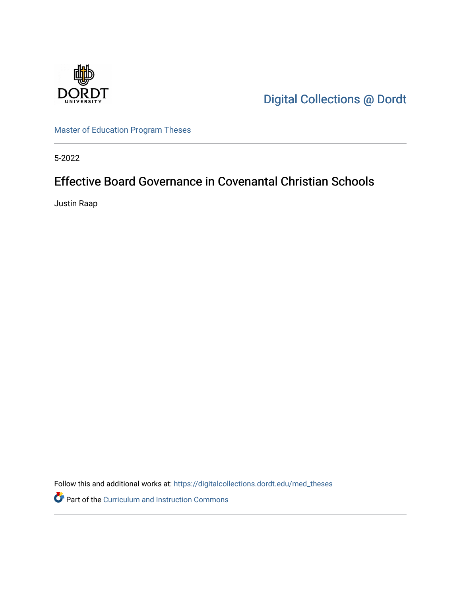

[Digital Collections @ Dordt](https://digitalcollections.dordt.edu/) 

[Master of Education Program Theses](https://digitalcollections.dordt.edu/med_theses) 

5-2022

# Effective Board Governance in Covenantal Christian Schools

Justin Raap

Follow this and additional works at: [https://digitalcollections.dordt.edu/med\\_theses](https://digitalcollections.dordt.edu/med_theses?utm_source=digitalcollections.dordt.edu%2Fmed_theses%2F157&utm_medium=PDF&utm_campaign=PDFCoverPages)

Part of the [Curriculum and Instruction Commons](http://network.bepress.com/hgg/discipline/786?utm_source=digitalcollections.dordt.edu%2Fmed_theses%2F157&utm_medium=PDF&utm_campaign=PDFCoverPages)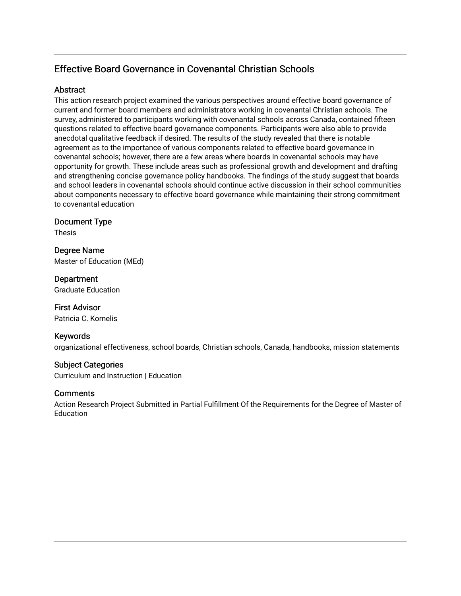# Effective Board Governance in Covenantal Christian Schools

### **Abstract**

This action research project examined the various perspectives around effective board governance of current and former board members and administrators working in covenantal Christian schools. The survey, administered to participants working with covenantal schools across Canada, contained fifteen questions related to effective board governance components. Participants were also able to provide anecdotal qualitative feedback if desired. The results of the study revealed that there is notable agreement as to the importance of various components related to effective board governance in covenantal schools; however, there are a few areas where boards in covenantal schools may have opportunity for growth. These include areas such as professional growth and development and drafting and strengthening concise governance policy handbooks. The findings of the study suggest that boards and school leaders in covenantal schools should continue active discussion in their school communities about components necessary to effective board governance while maintaining their strong commitment to covenantal education

## Document Type

Thesis

Degree Name Master of Education (MEd)

**Department** Graduate Education

First Advisor Patricia C. Kornelis

## Keywords

organizational effectiveness, school boards, Christian schools, Canada, handbooks, mission statements

## Subject Categories

Curriculum and Instruction | Education

## **Comments**

Action Research Project Submitted in Partial Fulfillment Of the Requirements for the Degree of Master of **Education**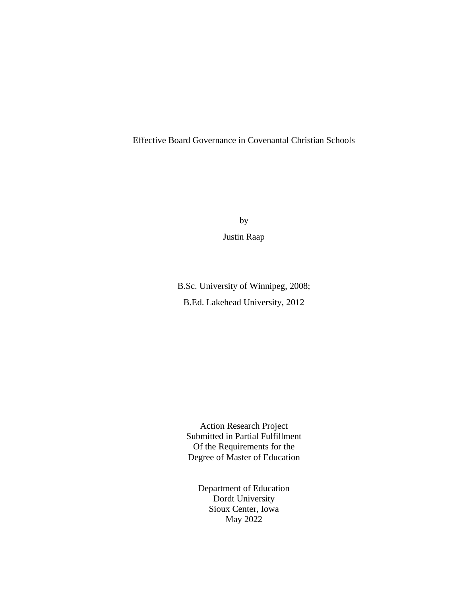## Effective Board Governance in Covenantal Christian Schools

by

Justin Raap

B.Sc. University of Winnipeg, 2008; B.Ed. Lakehead University, 2012

Action Research Project Submitted in Partial Fulfillment Of the Requirements for the Degree of Master of Education

Department of Education Dordt University Sioux Center, Iowa May 2022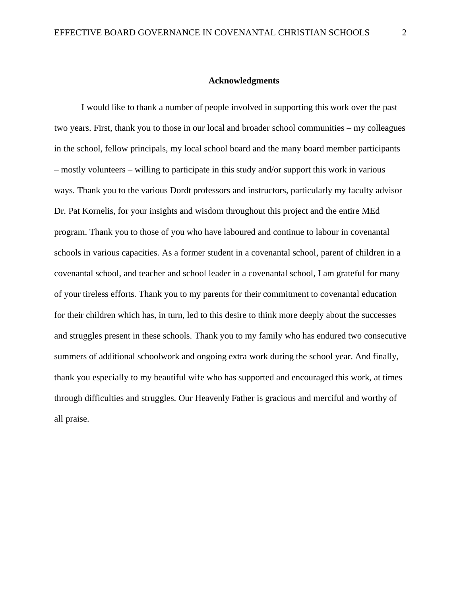#### **Acknowledgments**

I would like to thank a number of people involved in supporting this work over the past two years. First, thank you to those in our local and broader school communities – my colleagues in the school, fellow principals, my local school board and the many board member participants – mostly volunteers – willing to participate in this study and/or support this work in various ways. Thank you to the various Dordt professors and instructors, particularly my faculty advisor Dr. Pat Kornelis, for your insights and wisdom throughout this project and the entire MEd program. Thank you to those of you who have laboured and continue to labour in covenantal schools in various capacities. As a former student in a covenantal school, parent of children in a covenantal school, and teacher and school leader in a covenantal school, I am grateful for many of your tireless efforts. Thank you to my parents for their commitment to covenantal education for their children which has, in turn, led to this desire to think more deeply about the successes and struggles present in these schools. Thank you to my family who has endured two consecutive summers of additional schoolwork and ongoing extra work during the school year. And finally, thank you especially to my beautiful wife who has supported and encouraged this work, at times through difficulties and struggles. Our Heavenly Father is gracious and merciful and worthy of all praise.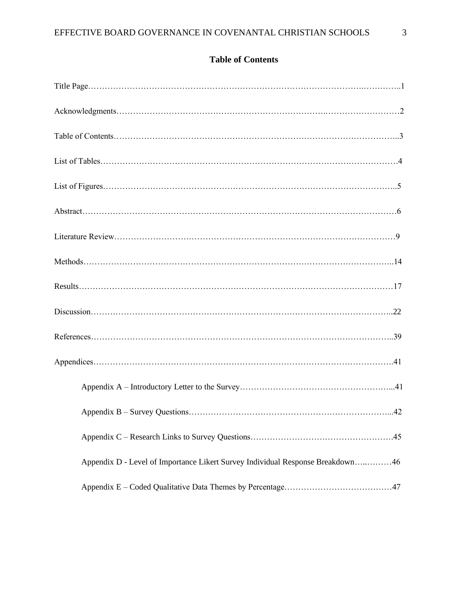# **Table of Contents**

| Appendix D - Level of Importance Likert Survey Individual Response Breakdown46 |
|--------------------------------------------------------------------------------|
|                                                                                |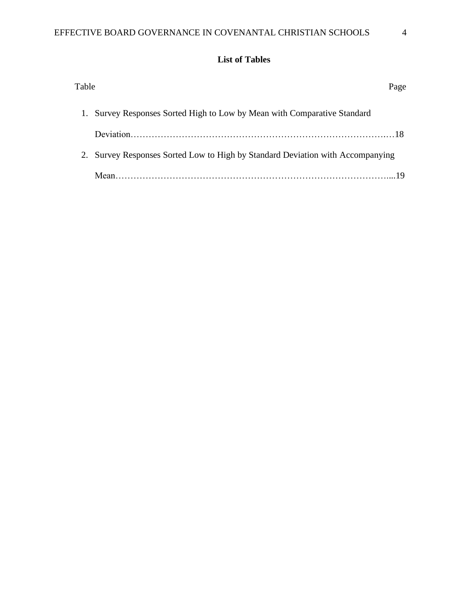# **List of Tables**

| Table |                                                                                | Page |
|-------|--------------------------------------------------------------------------------|------|
|       | 1. Survey Responses Sorted High to Low by Mean with Comparative Standard       |      |
|       |                                                                                |      |
|       | 2. Survey Responses Sorted Low to High by Standard Deviation with Accompanying |      |
|       |                                                                                |      |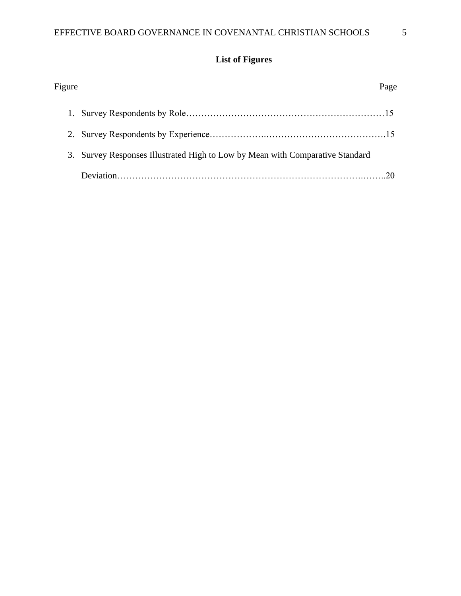# **List of Figures**

| Figure | Page                                                                          |
|--------|-------------------------------------------------------------------------------|
|        |                                                                               |
|        |                                                                               |
|        | 3. Survey Responses Illustrated High to Low by Mean with Comparative Standard |
|        |                                                                               |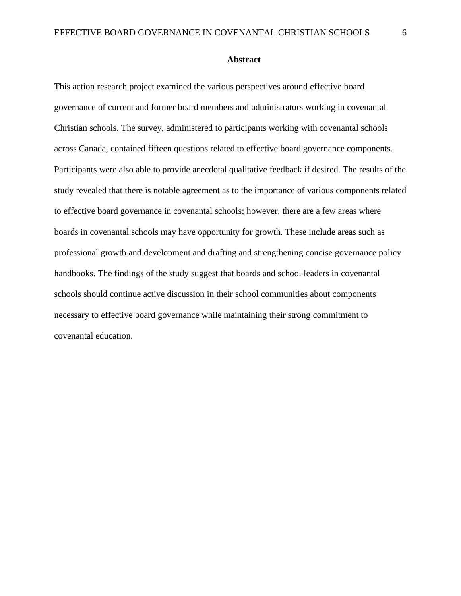#### **Abstract**

This action research project examined the various perspectives around effective board governance of current and former board members and administrators working in covenantal Christian schools. The survey, administered to participants working with covenantal schools across Canada, contained fifteen questions related to effective board governance components. Participants were also able to provide anecdotal qualitative feedback if desired. The results of the study revealed that there is notable agreement as to the importance of various components related to effective board governance in covenantal schools; however, there are a few areas where boards in covenantal schools may have opportunity for growth. These include areas such as professional growth and development and drafting and strengthening concise governance policy handbooks. The findings of the study suggest that boards and school leaders in covenantal schools should continue active discussion in their school communities about components necessary to effective board governance while maintaining their strong commitment to covenantal education.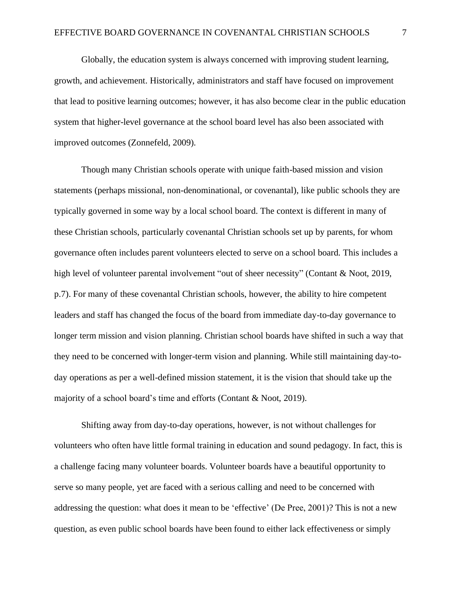Globally, the education system is always concerned with improving student learning, growth, and achievement. Historically, administrators and staff have focused on improvement that lead to positive learning outcomes; however, it has also become clear in the public education system that higher-level governance at the school board level has also been associated with improved outcomes (Zonnefeld, 2009).

Though many Christian schools operate with unique faith-based mission and vision statements (perhaps missional, non-denominational, or covenantal), like public schools they are typically governed in some way by a local school board. The context is different in many of these Christian schools, particularly covenantal Christian schools set up by parents, for whom governance often includes parent volunteers elected to serve on a school board. This includes a high level of volunteer parental involvement "out of sheer necessity" (Contant & Noot, 2019, p.7). For many of these covenantal Christian schools, however, the ability to hire competent leaders and staff has changed the focus of the board from immediate day-to-day governance to longer term mission and vision planning. Christian school boards have shifted in such a way that they need to be concerned with longer-term vision and planning. While still maintaining day-today operations as per a well-defined mission statement, it is the vision that should take up the majority of a school board's time and efforts (Contant & Noot, 2019).

Shifting away from day-to-day operations, however, is not without challenges for volunteers who often have little formal training in education and sound pedagogy. In fact, this is a challenge facing many volunteer boards. Volunteer boards have a beautiful opportunity to serve so many people, yet are faced with a serious calling and need to be concerned with addressing the question: what does it mean to be 'effective' (De Pree, 2001)? This is not a new question, as even public school boards have been found to either lack effectiveness or simply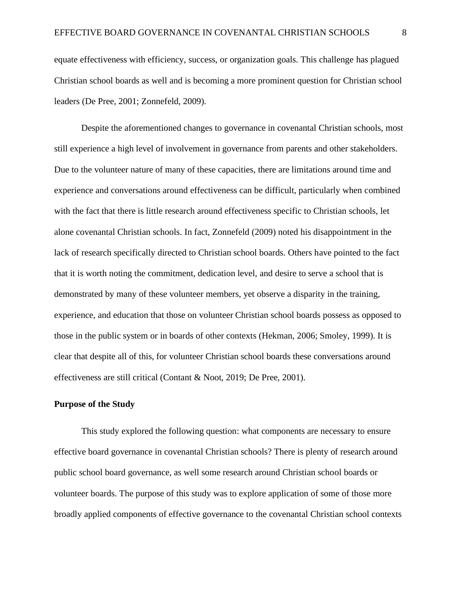equate effectiveness with efficiency, success, or organization goals. This challenge has plagued Christian school boards as well and is becoming a more prominent question for Christian school leaders (De Pree, 2001; Zonnefeld, 2009).

Despite the aforementioned changes to governance in covenantal Christian schools, most still experience a high level of involvement in governance from parents and other stakeholders. Due to the volunteer nature of many of these capacities, there are limitations around time and experience and conversations around effectiveness can be difficult, particularly when combined with the fact that there is little research around effectiveness specific to Christian schools, let alone covenantal Christian schools. In fact, Zonnefeld (2009) noted his disappointment in the lack of research specifically directed to Christian school boards. Others have pointed to the fact that it is worth noting the commitment, dedication level, and desire to serve a school that is demonstrated by many of these volunteer members, yet observe a disparity in the training, experience, and education that those on volunteer Christian school boards possess as opposed to those in the public system or in boards of other contexts (Hekman, 2006; Smoley, 1999). It is clear that despite all of this, for volunteer Christian school boards these conversations around effectiveness are still critical (Contant & Noot, 2019; De Pree, 2001).

#### **Purpose of the Study**

This study explored the following question: what components are necessary to ensure effective board governance in covenantal Christian schools? There is plenty of research around public school board governance, as well some research around Christian school boards or volunteer boards. The purpose of this study was to explore application of some of those more broadly applied components of effective governance to the covenantal Christian school contexts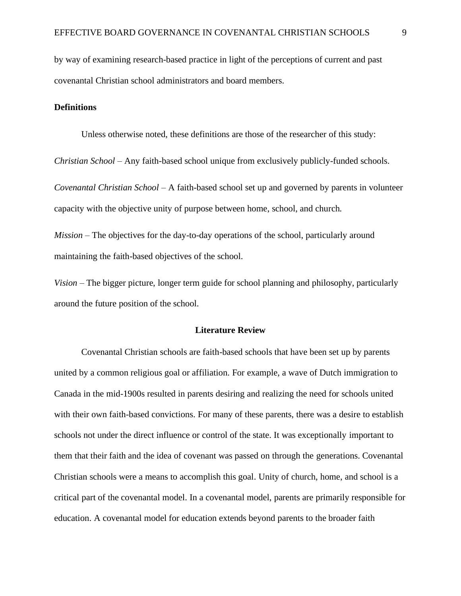by way of examining research-based practice in light of the perceptions of current and past covenantal Christian school administrators and board members.

#### **Definitions**

Unless otherwise noted, these definitions are those of the researcher of this study:

*Christian School* – Any faith-based school unique from exclusively publicly-funded schools.

*Covenantal Christian School –* A faith-based school set up and governed by parents in volunteer capacity with the objective unity of purpose between home, school, and church.

*Mission* – The objectives for the day-to-day operations of the school, particularly around maintaining the faith-based objectives of the school.

*Vision –* The bigger picture, longer term guide for school planning and philosophy, particularly around the future position of the school.

#### **Literature Review**

Covenantal Christian schools are faith-based schools that have been set up by parents united by a common religious goal or affiliation. For example, a wave of Dutch immigration to Canada in the mid-1900s resulted in parents desiring and realizing the need for schools united with their own faith-based convictions. For many of these parents, there was a desire to establish schools not under the direct influence or control of the state. It was exceptionally important to them that their faith and the idea of covenant was passed on through the generations. Covenantal Christian schools were a means to accomplish this goal. Unity of church, home, and school is a critical part of the covenantal model. In a covenantal model, parents are primarily responsible for education. A covenantal model for education extends beyond parents to the broader faith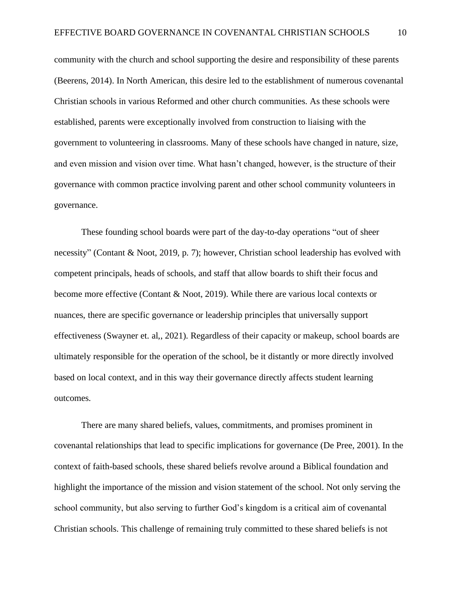community with the church and school supporting the desire and responsibility of these parents (Beerens, 2014). In North American, this desire led to the establishment of numerous covenantal Christian schools in various Reformed and other church communities. As these schools were established, parents were exceptionally involved from construction to liaising with the government to volunteering in classrooms. Many of these schools have changed in nature, size, and even mission and vision over time. What hasn't changed, however, is the structure of their governance with common practice involving parent and other school community volunteers in governance.

These founding school boards were part of the day-to-day operations "out of sheer necessity" (Contant & Noot, 2019, p. 7); however, Christian school leadership has evolved with competent principals, heads of schools, and staff that allow boards to shift their focus and become more effective (Contant & Noot, 2019). While there are various local contexts or nuances, there are specific governance or leadership principles that universally support effectiveness (Swayner et. al,, 2021). Regardless of their capacity or makeup, school boards are ultimately responsible for the operation of the school, be it distantly or more directly involved based on local context, and in this way their governance directly affects student learning outcomes.

There are many shared beliefs, values, commitments, and promises prominent in covenantal relationships that lead to specific implications for governance (De Pree, 2001). In the context of faith-based schools, these shared beliefs revolve around a Biblical foundation and highlight the importance of the mission and vision statement of the school. Not only serving the school community, but also serving to further God's kingdom is a critical aim of covenantal Christian schools. This challenge of remaining truly committed to these shared beliefs is not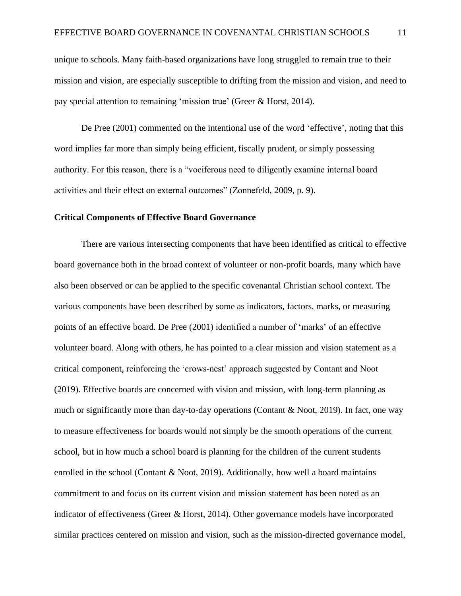unique to schools. Many faith-based organizations have long struggled to remain true to their mission and vision, are especially susceptible to drifting from the mission and vision, and need to pay special attention to remaining 'mission true' (Greer & Horst, 2014).

De Pree (2001) commented on the intentional use of the word 'effective'*,* noting that this word implies far more than simply being efficient, fiscally prudent, or simply possessing authority. For this reason, there is a "vociferous need to diligently examine internal board activities and their effect on external outcomes" (Zonnefeld, 2009, p. 9).

#### **Critical Components of Effective Board Governance**

There are various intersecting components that have been identified as critical to effective board governance both in the broad context of volunteer or non-profit boards, many which have also been observed or can be applied to the specific covenantal Christian school context. The various components have been described by some as indicators, factors, marks, or measuring points of an effective board. De Pree (2001) identified a number of 'marks' of an effective volunteer board. Along with others, he has pointed to a clear mission and vision statement as a critical component, reinforcing the 'crows-nest' approach suggested by Contant and Noot (2019). Effective boards are concerned with vision and mission, with long-term planning as much or significantly more than day-to-day operations (Contant & Noot, 2019). In fact, one way to measure effectiveness for boards would not simply be the smooth operations of the current school, but in how much a school board is planning for the children of the current students enrolled in the school (Contant  $& Noot, 2019$ ). Additionally, how well a board maintains commitment to and focus on its current vision and mission statement has been noted as an indicator of effectiveness (Greer & Horst, 2014). Other governance models have incorporated similar practices centered on mission and vision, such as the mission-directed governance model,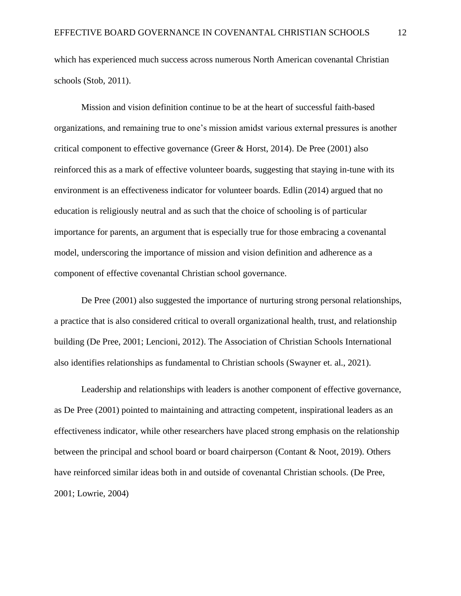which has experienced much success across numerous North American covenantal Christian schools (Stob, 2011).

Mission and vision definition continue to be at the heart of successful faith-based organizations, and remaining true to one's mission amidst various external pressures is another critical component to effective governance (Greer & Horst, 2014). De Pree (2001) also reinforced this as a mark of effective volunteer boards, suggesting that staying in-tune with its environment is an effectiveness indicator for volunteer boards. Edlin (2014) argued that no education is religiously neutral and as such that the choice of schooling is of particular importance for parents, an argument that is especially true for those embracing a covenantal model, underscoring the importance of mission and vision definition and adherence as a component of effective covenantal Christian school governance.

De Pree (2001) also suggested the importance of nurturing strong personal relationships, a practice that is also considered critical to overall organizational health, trust, and relationship building (De Pree, 2001; Lencioni, 2012). The Association of Christian Schools International also identifies relationships as fundamental to Christian schools (Swayner et. al., 2021).

Leadership and relationships with leaders is another component of effective governance, as De Pree (2001) pointed to maintaining and attracting competent, inspirational leaders as an effectiveness indicator, while other researchers have placed strong emphasis on the relationship between the principal and school board or board chairperson (Contant & Noot, 2019). Others have reinforced similar ideas both in and outside of covenantal Christian schools. (De Pree, 2001; Lowrie, 2004)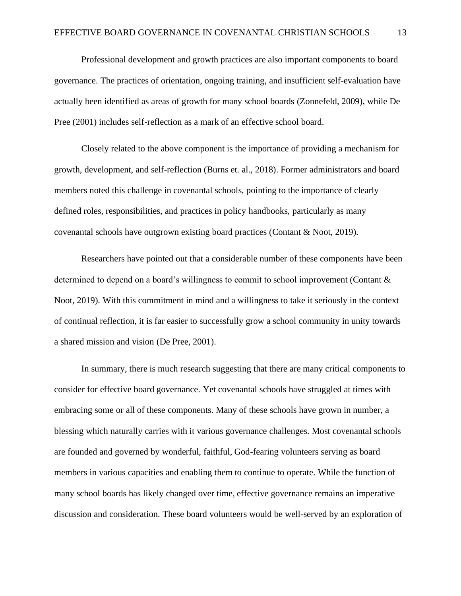Professional development and growth practices are also important components to board governance. The practices of orientation, ongoing training, and insufficient self-evaluation have actually been identified as areas of growth for many school boards (Zonnefeld, 2009), while De Pree (2001) includes self-reflection as a mark of an effective school board.

Closely related to the above component is the importance of providing a mechanism for growth, development, and self-reflection (Burns et. al., 2018). Former administrators and board members noted this challenge in covenantal schools, pointing to the importance of clearly defined roles, responsibilities, and practices in policy handbooks, particularly as many covenantal schools have outgrown existing board practices (Contant & Noot, 2019).

Researchers have pointed out that a considerable number of these components have been determined to depend on a board's willingness to commit to school improvement (Contant & Noot, 2019). With this commitment in mind and a willingness to take it seriously in the context of continual reflection, it is far easier to successfully grow a school community in unity towards a shared mission and vision (De Pree, 2001).

In summary, there is much research suggesting that there are many critical components to consider for effective board governance. Yet covenantal schools have struggled at times with embracing some or all of these components. Many of these schools have grown in number, a blessing which naturally carries with it various governance challenges. Most covenantal schools are founded and governed by wonderful, faithful, God-fearing volunteers serving as board members in various capacities and enabling them to continue to operate. While the function of many school boards has likely changed over time, effective governance remains an imperative discussion and consideration. These board volunteers would be well-served by an exploration of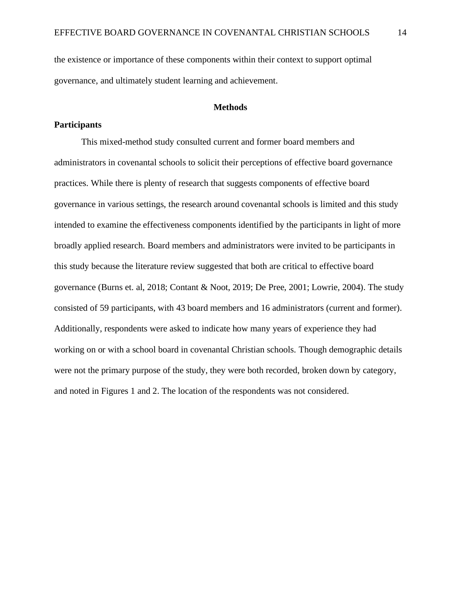the existence or importance of these components within their context to support optimal governance, and ultimately student learning and achievement.

#### **Methods**

#### **Participants**

This mixed-method study consulted current and former board members and administrators in covenantal schools to solicit their perceptions of effective board governance practices. While there is plenty of research that suggests components of effective board governance in various settings, the research around covenantal schools is limited and this study intended to examine the effectiveness components identified by the participants in light of more broadly applied research. Board members and administrators were invited to be participants in this study because the literature review suggested that both are critical to effective board governance (Burns et. al, 2018; Contant & Noot, 2019; De Pree, 2001; Lowrie, 2004). The study consisted of 59 participants, with 43 board members and 16 administrators (current and former). Additionally, respondents were asked to indicate how many years of experience they had working on or with a school board in covenantal Christian schools. Though demographic details were not the primary purpose of the study, they were both recorded, broken down by category, and noted in Figures 1 and 2. The location of the respondents was not considered.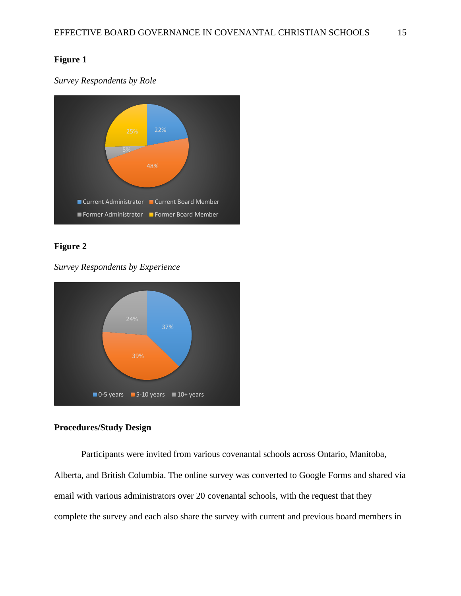## **Figure 1**

*Survey Respondents by Role*



## **Figure 2**

*Survey Respondents by Experience*



## **Procedures/Study Design**

Participants were invited from various covenantal schools across Ontario, Manitoba, Alberta, and British Columbia. The online survey was converted to Google Forms and shared via email with various administrators over 20 covenantal schools, with the request that they complete the survey and each also share the survey with current and previous board members in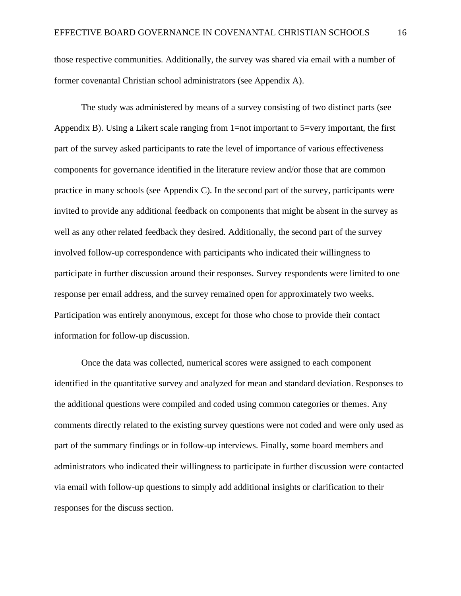those respective communities. Additionally, the survey was shared via email with a number of former covenantal Christian school administrators (see Appendix A).

The study was administered by means of a survey consisting of two distinct parts (see Appendix B). Using a Likert scale ranging from 1=not important to 5=very important, the first part of the survey asked participants to rate the level of importance of various effectiveness components for governance identified in the literature review and/or those that are common practice in many schools (see Appendix C). In the second part of the survey, participants were invited to provide any additional feedback on components that might be absent in the survey as well as any other related feedback they desired. Additionally, the second part of the survey involved follow-up correspondence with participants who indicated their willingness to participate in further discussion around their responses. Survey respondents were limited to one response per email address, and the survey remained open for approximately two weeks. Participation was entirely anonymous, except for those who chose to provide their contact information for follow-up discussion.

Once the data was collected, numerical scores were assigned to each component identified in the quantitative survey and analyzed for mean and standard deviation. Responses to the additional questions were compiled and coded using common categories or themes. Any comments directly related to the existing survey questions were not coded and were only used as part of the summary findings or in follow-up interviews. Finally, some board members and administrators who indicated their willingness to participate in further discussion were contacted via email with follow-up questions to simply add additional insights or clarification to their responses for the discuss section.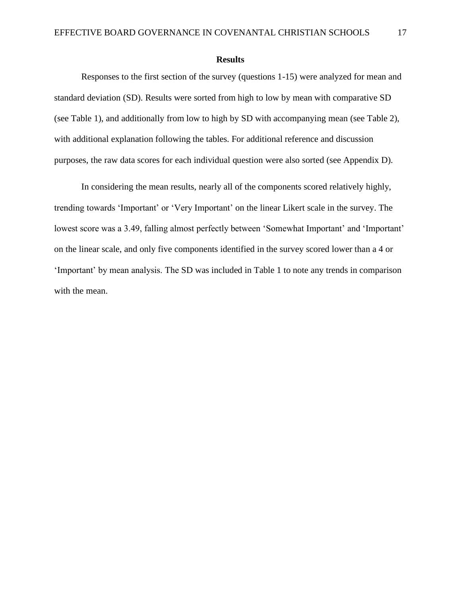#### **Results**

Responses to the first section of the survey (questions 1-15) were analyzed for mean and standard deviation (SD). Results were sorted from high to low by mean with comparative SD (see Table 1), and additionally from low to high by SD with accompanying mean (see Table 2), with additional explanation following the tables. For additional reference and discussion purposes, the raw data scores for each individual question were also sorted (see Appendix D).

In considering the mean results, nearly all of the components scored relatively highly, trending towards 'Important' or 'Very Important' on the linear Likert scale in the survey. The lowest score was a 3.49, falling almost perfectly between 'Somewhat Important' and 'Important' on the linear scale, and only five components identified in the survey scored lower than a 4 or 'Important' by mean analysis. The SD was included in Table 1 to note any trends in comparison with the mean.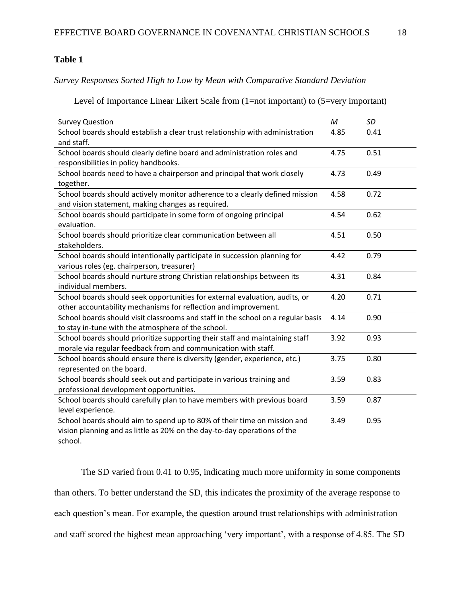## **Table 1**

*Survey Responses Sorted High to Low by Mean with Comparative Standard Deviation*

Level of Importance Linear Likert Scale from (1=not important) to (5=very important)

| <b>Survey Question</b>                                                           | M    | SD   |
|----------------------------------------------------------------------------------|------|------|
| School boards should establish a clear trust relationship with administration    | 4.85 | 0.41 |
| and staff.                                                                       |      |      |
| School boards should clearly define board and administration roles and           | 4.75 | 0.51 |
| responsibilities in policy handbooks.                                            |      |      |
| School boards need to have a chairperson and principal that work closely         | 4.73 | 0.49 |
| together.                                                                        |      |      |
| School boards should actively monitor adherence to a clearly defined mission     | 4.58 | 0.72 |
| and vision statement, making changes as required.                                |      |      |
| School boards should participate in some form of ongoing principal               | 4.54 | 0.62 |
| evaluation.                                                                      |      |      |
| School boards should prioritize clear communication between all                  | 4.51 | 0.50 |
| stakeholders.                                                                    |      |      |
| School boards should intentionally participate in succession planning for        | 4.42 | 0.79 |
| various roles (eg. chairperson, treasurer)                                       |      |      |
| School boards should nurture strong Christian relationships between its          | 4.31 | 0.84 |
| individual members.                                                              |      |      |
| School boards should seek opportunities for external evaluation, audits, or      | 4.20 | 0.71 |
| other accountability mechanisms for reflection and improvement.                  |      |      |
| School boards should visit classrooms and staff in the school on a regular basis | 4.14 | 0.90 |
| to stay in-tune with the atmosphere of the school.                               |      |      |
| School boards should prioritize supporting their staff and maintaining staff     | 3.92 | 0.93 |
| morale via regular feedback from and communication with staff.                   |      |      |
| School boards should ensure there is diversity (gender, experience, etc.)        | 3.75 | 0.80 |
| represented on the board.                                                        |      |      |
| School boards should seek out and participate in various training and            | 3.59 | 0.83 |
| professional development opportunities.                                          |      |      |
| School boards should carefully plan to have members with previous board          | 3.59 | 0.87 |
| level experience.                                                                |      |      |
| School boards should aim to spend up to 80% of their time on mission and         | 3.49 | 0.95 |
| vision planning and as little as 20% on the day-to-day operations of the         |      |      |
| school.                                                                          |      |      |

The SD varied from 0.41 to 0.95, indicating much more uniformity in some components than others. To better understand the SD, this indicates the proximity of the average response to each question's mean. For example, the question around trust relationships with administration and staff scored the highest mean approaching 'very important', with a response of 4.85. The SD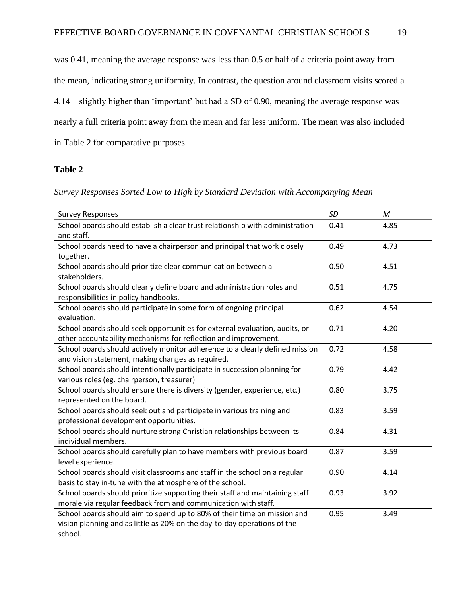was 0.41, meaning the average response was less than 0.5 or half of a criteria point away from the mean, indicating strong uniformity. In contrast, the question around classroom visits scored a 4.14 – slightly higher than 'important' but had a SD of 0.90, meaning the average response was nearly a full criteria point away from the mean and far less uniform. The mean was also included in Table 2 for comparative purposes.

### **Table 2**

#### *Survey Responses Sorted Low to High by Standard Deviation with Accompanying Mean*

| <b>Survey Responses</b>                                                                                                                                         | SD   | M    |
|-----------------------------------------------------------------------------------------------------------------------------------------------------------------|------|------|
| School boards should establish a clear trust relationship with administration<br>and staff.                                                                     | 0.41 | 4.85 |
| School boards need to have a chairperson and principal that work closely<br>together.                                                                           | 0.49 | 4.73 |
| School boards should prioritize clear communication between all<br>stakeholders.                                                                                | 0.50 | 4.51 |
| School boards should clearly define board and administration roles and<br>responsibilities in policy handbooks.                                                 | 0.51 | 4.75 |
| School boards should participate in some form of ongoing principal<br>evaluation.                                                                               | 0.62 | 4.54 |
| School boards should seek opportunities for external evaluation, audits, or<br>other accountability mechanisms for reflection and improvement.                  | 0.71 | 4.20 |
| School boards should actively monitor adherence to a clearly defined mission<br>and vision statement, making changes as required.                               | 0.72 | 4.58 |
| School boards should intentionally participate in succession planning for<br>various roles (eg. chairperson, treasurer)                                         | 0.79 | 4.42 |
| School boards should ensure there is diversity (gender, experience, etc.)<br>represented on the board.                                                          | 0.80 | 3.75 |
| School boards should seek out and participate in various training and<br>professional development opportunities.                                                | 0.83 | 3.59 |
| School boards should nurture strong Christian relationships between its<br>individual members.                                                                  | 0.84 | 4.31 |
| School boards should carefully plan to have members with previous board<br>level experience.                                                                    | 0.87 | 3.59 |
| School boards should visit classrooms and staff in the school on a regular<br>basis to stay in-tune with the atmosphere of the school.                          | 0.90 | 4.14 |
| School boards should prioritize supporting their staff and maintaining staff<br>morale via regular feedback from and communication with staff.                  | 0.93 | 3.92 |
| School boards should aim to spend up to 80% of their time on mission and<br>vision planning and as little as 20% on the day-to-day operations of the<br>school. | 0.95 | 3.49 |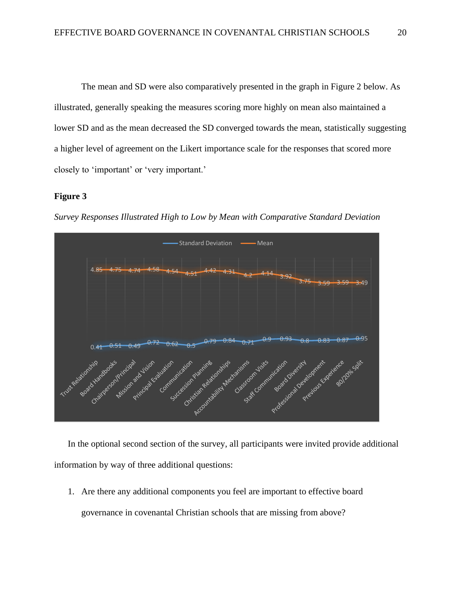The mean and SD were also comparatively presented in the graph in Figure 2 below. As illustrated, generally speaking the measures scoring more highly on mean also maintained a lower SD and as the mean decreased the SD converged towards the mean, statistically suggesting a higher level of agreement on the Likert importance scale for the responses that scored more closely to 'important' or 'very important.'

#### **Figure 3**



*Survey Responses Illustrated High to Low by Mean with Comparative Standard Deviation*

In the optional second section of the survey, all participants were invited provide additional information by way of three additional questions:

1. Are there any additional components you feel are important to effective board governance in covenantal Christian schools that are missing from above?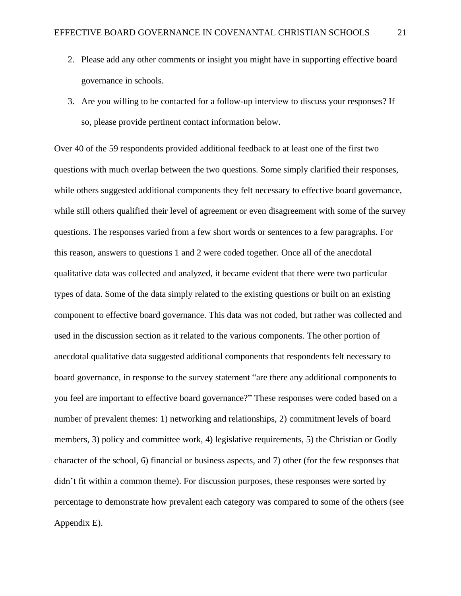- 2. Please add any other comments or insight you might have in supporting effective board governance in schools.
- 3. Are you willing to be contacted for a follow-up interview to discuss your responses? If so, please provide pertinent contact information below.

Over 40 of the 59 respondents provided additional feedback to at least one of the first two questions with much overlap between the two questions. Some simply clarified their responses, while others suggested additional components they felt necessary to effective board governance, while still others qualified their level of agreement or even disagreement with some of the survey questions. The responses varied from a few short words or sentences to a few paragraphs. For this reason, answers to questions 1 and 2 were coded together. Once all of the anecdotal qualitative data was collected and analyzed, it became evident that there were two particular types of data. Some of the data simply related to the existing questions or built on an existing component to effective board governance. This data was not coded, but rather was collected and used in the discussion section as it related to the various components. The other portion of anecdotal qualitative data suggested additional components that respondents felt necessary to board governance, in response to the survey statement "are there any additional components to you feel are important to effective board governance?" These responses were coded based on a number of prevalent themes: 1) networking and relationships, 2) commitment levels of board members, 3) policy and committee work, 4) legislative requirements, 5) the Christian or Godly character of the school, 6) financial or business aspects, and 7) other (for the few responses that didn't fit within a common theme). For discussion purposes, these responses were sorted by percentage to demonstrate how prevalent each category was compared to some of the others (see Appendix E).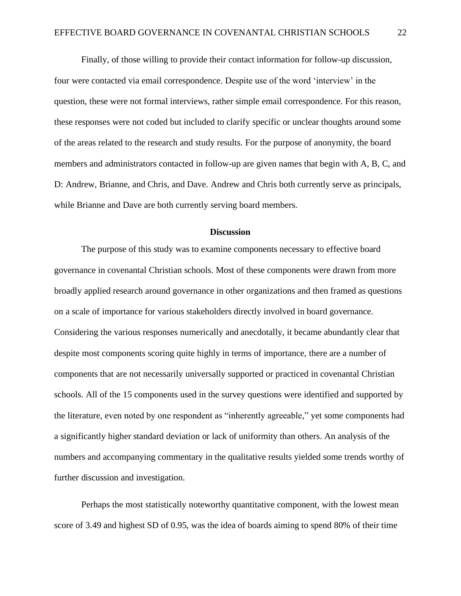Finally, of those willing to provide their contact information for follow-up discussion, four were contacted via email correspondence. Despite use of the word 'interview' in the question, these were not formal interviews, rather simple email correspondence. For this reason, these responses were not coded but included to clarify specific or unclear thoughts around some of the areas related to the research and study results. For the purpose of anonymity, the board members and administrators contacted in follow-up are given names that begin with A, B, C, and D: Andrew, Brianne, and Chris, and Dave. Andrew and Chris both currently serve as principals, while Brianne and Dave are both currently serving board members.

#### **Discussion**

The purpose of this study was to examine components necessary to effective board governance in covenantal Christian schools. Most of these components were drawn from more broadly applied research around governance in other organizations and then framed as questions on a scale of importance for various stakeholders directly involved in board governance. Considering the various responses numerically and anecdotally, it became abundantly clear that despite most components scoring quite highly in terms of importance, there are a number of components that are not necessarily universally supported or practiced in covenantal Christian schools. All of the 15 components used in the survey questions were identified and supported by the literature, even noted by one respondent as "inherently agreeable," yet some components had a significantly higher standard deviation or lack of uniformity than others. An analysis of the numbers and accompanying commentary in the qualitative results yielded some trends worthy of further discussion and investigation.

Perhaps the most statistically noteworthy quantitative component, with the lowest mean score of 3.49 and highest SD of 0.95, was the idea of boards aiming to spend 80% of their time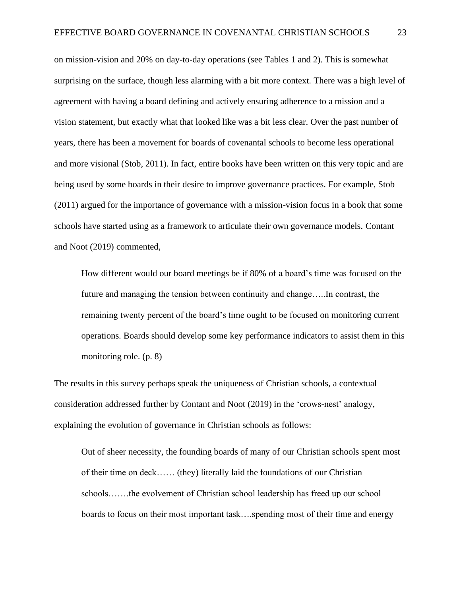on mission-vision and 20% on day-to-day operations (see Tables 1 and 2). This is somewhat surprising on the surface, though less alarming with a bit more context. There was a high level of agreement with having a board defining and actively ensuring adherence to a mission and a vision statement, but exactly what that looked like was a bit less clear. Over the past number of years, there has been a movement for boards of covenantal schools to become less operational and more visional (Stob, 2011). In fact, entire books have been written on this very topic and are being used by some boards in their desire to improve governance practices. For example, Stob (2011) argued for the importance of governance with a mission-vision focus in a book that some schools have started using as a framework to articulate their own governance models*.* Contant and Noot (2019) commented,

How different would our board meetings be if 80% of a board's time was focused on the future and managing the tension between continuity and change…..In contrast, the remaining twenty percent of the board's time ought to be focused on monitoring current operations. Boards should develop some key performance indicators to assist them in this monitoring role. (p. 8)

The results in this survey perhaps speak the uniqueness of Christian schools, a contextual consideration addressed further by Contant and Noot (2019) in the 'crows-nest' analogy, explaining the evolution of governance in Christian schools as follows:

Out of sheer necessity, the founding boards of many of our Christian schools spent most of their time on deck…… (they) literally laid the foundations of our Christian schools…….the evolvement of Christian school leadership has freed up our school boards to focus on their most important task….spending most of their time and energy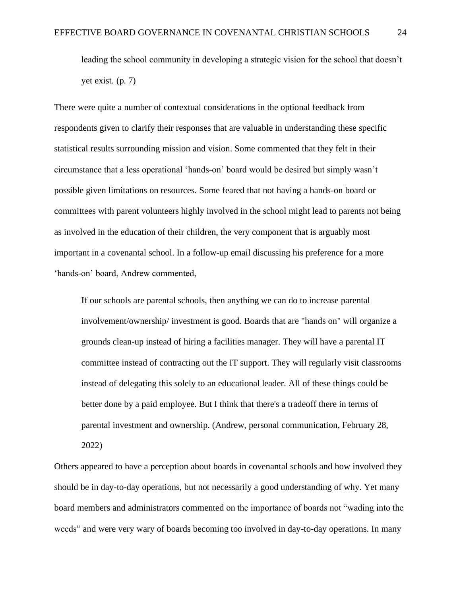leading the school community in developing a strategic vision for the school that doesn't yet exist. (p. 7)

There were quite a number of contextual considerations in the optional feedback from respondents given to clarify their responses that are valuable in understanding these specific statistical results surrounding mission and vision. Some commented that they felt in their circumstance that a less operational 'hands-on' board would be desired but simply wasn't possible given limitations on resources. Some feared that not having a hands-on board or committees with parent volunteers highly involved in the school might lead to parents not being as involved in the education of their children, the very component that is arguably most important in a covenantal school. In a follow-up email discussing his preference for a more 'hands-on' board, Andrew commented,

If our schools are parental schools, then anything we can do to increase parental involvement/ownership/ investment is good. Boards that are "hands on" will organize a grounds clean-up instead of hiring a facilities manager. They will have a parental IT committee instead of contracting out the IT support. They will regularly visit classrooms instead of delegating this solely to an educational leader. All of these things could be better done by a paid employee. But I think that there's a tradeoff there in terms of parental investment and ownership. (Andrew, personal communication, February 28, 2022)

Others appeared to have a perception about boards in covenantal schools and how involved they should be in day-to-day operations, but not necessarily a good understanding of why. Yet many board members and administrators commented on the importance of boards not "wading into the weeds" and were very wary of boards becoming too involved in day-to-day operations. In many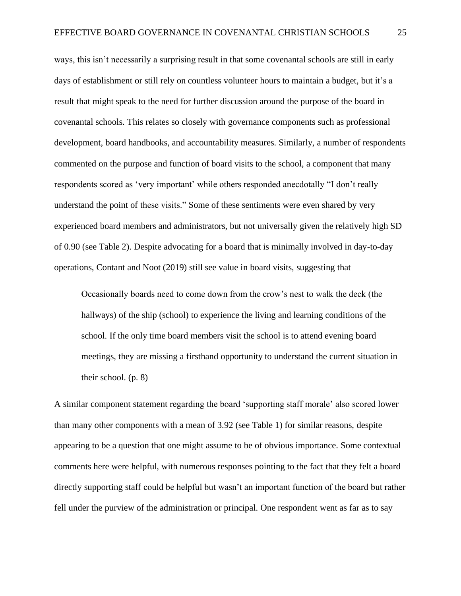ways, this isn't necessarily a surprising result in that some covenantal schools are still in early days of establishment or still rely on countless volunteer hours to maintain a budget, but it's a result that might speak to the need for further discussion around the purpose of the board in covenantal schools. This relates so closely with governance components such as professional development, board handbooks, and accountability measures. Similarly, a number of respondents commented on the purpose and function of board visits to the school, a component that many respondents scored as 'very important' while others responded anecdotally "I don't really understand the point of these visits." Some of these sentiments were even shared by very experienced board members and administrators, but not universally given the relatively high SD of 0.90 (see Table 2). Despite advocating for a board that is minimally involved in day-to-day operations, Contant and Noot (2019) still see value in board visits, suggesting that

Occasionally boards need to come down from the crow's nest to walk the deck (the hallways) of the ship (school) to experience the living and learning conditions of the school. If the only time board members visit the school is to attend evening board meetings, they are missing a firsthand opportunity to understand the current situation in their school. (p. 8)

A similar component statement regarding the board 'supporting staff morale' also scored lower than many other components with a mean of 3.92 (see Table 1) for similar reasons, despite appearing to be a question that one might assume to be of obvious importance. Some contextual comments here were helpful, with numerous responses pointing to the fact that they felt a board directly supporting staff could be helpful but wasn't an important function of the board but rather fell under the purview of the administration or principal. One respondent went as far as to say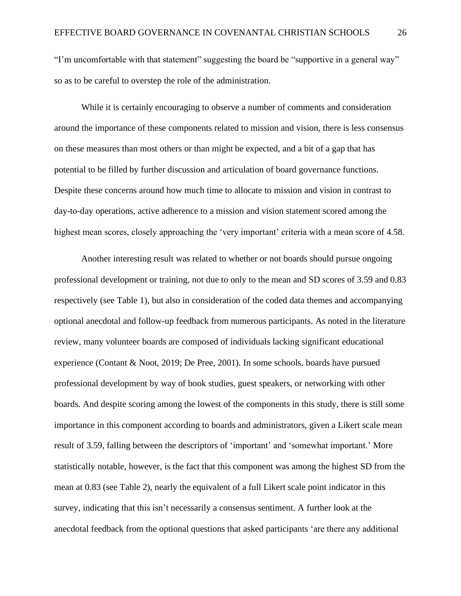"I'm uncomfortable with that statement" suggesting the board be "supportive in a general way" so as to be careful to overstep the role of the administration.

While it is certainly encouraging to observe a number of comments and consideration around the importance of these components related to mission and vision, there is less consensus on these measures than most others or than might be expected, and a bit of a gap that has potential to be filled by further discussion and articulation of board governance functions. Despite these concerns around how much time to allocate to mission and vision in contrast to day-to-day operations, active adherence to a mission and vision statement scored among the highest mean scores, closely approaching the 'very important' criteria with a mean score of 4.58.

Another interesting result was related to whether or not boards should pursue ongoing professional development or training, not due to only to the mean and SD scores of 3.59 and 0.83 respectively (see Table 1), but also in consideration of the coded data themes and accompanying optional anecdotal and follow-up feedback from numerous participants. As noted in the literature review, many volunteer boards are composed of individuals lacking significant educational experience (Contant & Noot, 2019; De Pree, 2001). In some schools, boards have pursued professional development by way of book studies, guest speakers, or networking with other boards. And despite scoring among the lowest of the components in this study, there is still some importance in this component according to boards and administrators, given a Likert scale mean result of 3.59, falling between the descriptors of 'important' and 'somewhat important.' More statistically notable, however, is the fact that this component was among the highest SD from the mean at 0.83 (see Table 2), nearly the equivalent of a full Likert scale point indicator in this survey, indicating that this isn't necessarily a consensus sentiment. A further look at the anecdotal feedback from the optional questions that asked participants 'are there any additional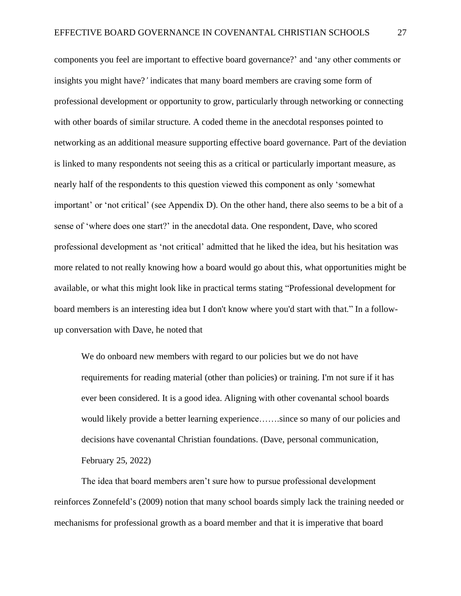components you feel are important to effective board governance?' and 'any other comments or insights you might have?*'* indicates that many board members are craving some form of professional development or opportunity to grow, particularly through networking or connecting with other boards of similar structure. A coded theme in the anecdotal responses pointed to networking as an additional measure supporting effective board governance. Part of the deviation is linked to many respondents not seeing this as a critical or particularly important measure, as nearly half of the respondents to this question viewed this component as only 'somewhat important' or 'not critical' (see Appendix D). On the other hand, there also seems to be a bit of a sense of 'where does one start?' in the anecdotal data. One respondent, Dave, who scored professional development as 'not critical' admitted that he liked the idea, but his hesitation was more related to not really knowing how a board would go about this, what opportunities might be available, or what this might look like in practical terms stating "Professional development for board members is an interesting idea but I don't know where you'd start with that." In a followup conversation with Dave, he noted that

We do onboard new members with regard to our policies but we do not have requirements for reading material (other than policies) or training. I'm not sure if it has ever been considered. It is a good idea. Aligning with other covenantal school boards would likely provide a better learning experience…….since so many of our policies and decisions have covenantal Christian foundations. (Dave, personal communication, February 25, 2022)

The idea that board members aren't sure how to pursue professional development reinforces Zonnefeld's (2009) notion that many school boards simply lack the training needed or mechanisms for professional growth as a board member and that it is imperative that board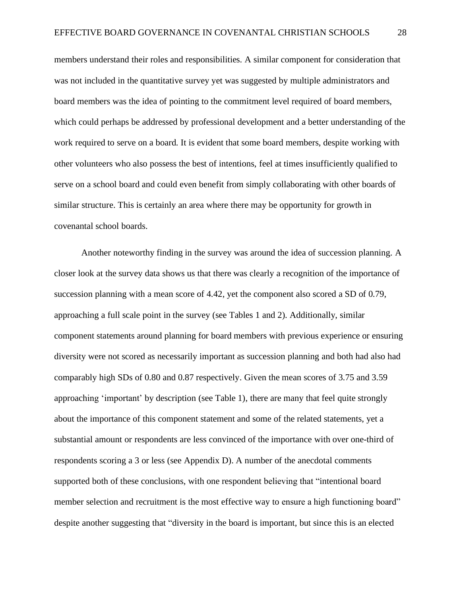members understand their roles and responsibilities. A similar component for consideration that was not included in the quantitative survey yet was suggested by multiple administrators and board members was the idea of pointing to the commitment level required of board members, which could perhaps be addressed by professional development and a better understanding of the work required to serve on a board. It is evident that some board members, despite working with other volunteers who also possess the best of intentions, feel at times insufficiently qualified to serve on a school board and could even benefit from simply collaborating with other boards of similar structure. This is certainly an area where there may be opportunity for growth in covenantal school boards.

Another noteworthy finding in the survey was around the idea of succession planning. A closer look at the survey data shows us that there was clearly a recognition of the importance of succession planning with a mean score of 4.42, yet the component also scored a SD of 0.79, approaching a full scale point in the survey (see Tables 1 and 2). Additionally, similar component statements around planning for board members with previous experience or ensuring diversity were not scored as necessarily important as succession planning and both had also had comparably high SDs of 0.80 and 0.87 respectively. Given the mean scores of 3.75 and 3.59 approaching 'important' by description (see Table 1), there are many that feel quite strongly about the importance of this component statement and some of the related statements, yet a substantial amount or respondents are less convinced of the importance with over one-third of respondents scoring a 3 or less (see Appendix D). A number of the anecdotal comments supported both of these conclusions, with one respondent believing that "intentional board member selection and recruitment is the most effective way to ensure a high functioning board" despite another suggesting that "diversity in the board is important, but since this is an elected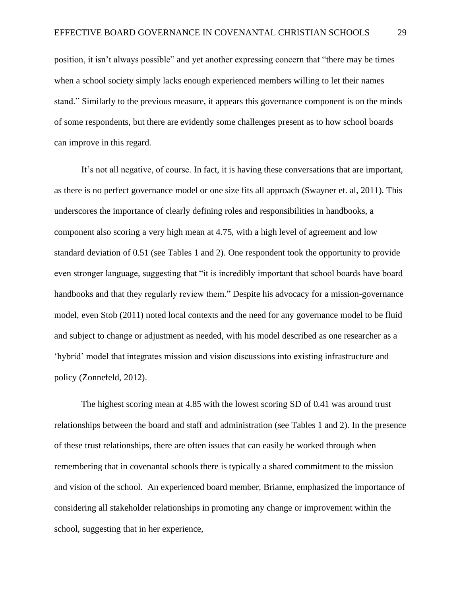position, it isn't always possible" and yet another expressing concern that "there may be times when a school society simply lacks enough experienced members willing to let their names stand." Similarly to the previous measure, it appears this governance component is on the minds of some respondents, but there are evidently some challenges present as to how school boards can improve in this regard.

It's not all negative, of course. In fact, it is having these conversations that are important, as there is no perfect governance model or one size fits all approach (Swayner et. al, 2011). This underscores the importance of clearly defining roles and responsibilities in handbooks, a component also scoring a very high mean at 4.75, with a high level of agreement and low standard deviation of 0.51 (see Tables 1 and 2). One respondent took the opportunity to provide even stronger language, suggesting that "it is incredibly important that school boards have board handbooks and that they regularly review them." Despite his advocacy for a mission-governance model, even Stob (2011) noted local contexts and the need for any governance model to be fluid and subject to change or adjustment as needed, with his model described as one researcher as a 'hybrid' model that integrates mission and vision discussions into existing infrastructure and policy (Zonnefeld, 2012).

The highest scoring mean at 4.85 with the lowest scoring SD of 0.41 was around trust relationships between the board and staff and administration (see Tables 1 and 2). In the presence of these trust relationships, there are often issues that can easily be worked through when remembering that in covenantal schools there is typically a shared commitment to the mission and vision of the school. An experienced board member, Brianne, emphasized the importance of considering all stakeholder relationships in promoting any change or improvement within the school, suggesting that in her experience,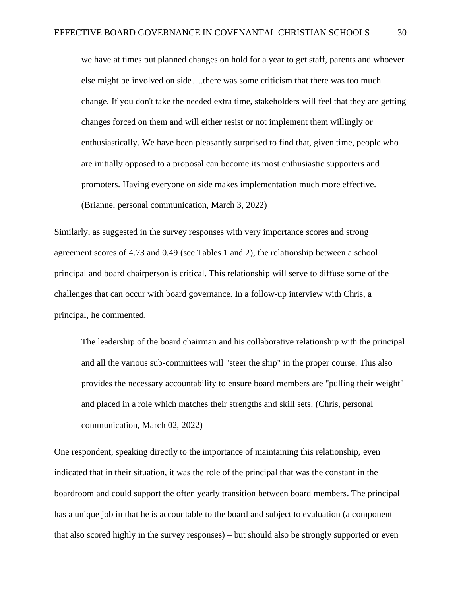we have at times put planned changes on hold for a year to get staff, parents and whoever else might be involved on side….there was some criticism that there was too much change. If you don't take the needed extra time, stakeholders will feel that they are getting changes forced on them and will either resist or not implement them willingly or enthusiastically. We have been pleasantly surprised to find that, given time, people who are initially opposed to a proposal can become its most enthusiastic supporters and promoters. Having everyone on side makes implementation much more effective. (Brianne, personal communication, March 3, 2022)

Similarly, as suggested in the survey responses with very importance scores and strong agreement scores of 4.73 and 0.49 (see Tables 1 and 2), the relationship between a school principal and board chairperson is critical. This relationship will serve to diffuse some of the challenges that can occur with board governance. In a follow-up interview with Chris, a principal, he commented,

The leadership of the board chairman and his collaborative relationship with the principal and all the various sub-committees will "steer the ship" in the proper course. This also provides the necessary accountability to ensure board members are "pulling their weight" and placed in a role which matches their strengths and skill sets. (Chris, personal communication, March 02, 2022)

One respondent, speaking directly to the importance of maintaining this relationship, even indicated that in their situation, it was the role of the principal that was the constant in the boardroom and could support the often yearly transition between board members. The principal has a unique job in that he is accountable to the board and subject to evaluation (a component that also scored highly in the survey responses) – but should also be strongly supported or even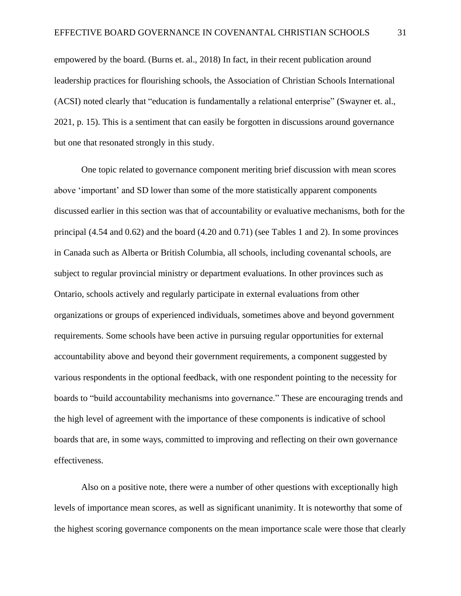empowered by the board. (Burns et. al., 2018) In fact, in their recent publication around leadership practices for flourishing schools, the Association of Christian Schools International (ACSI) noted clearly that "education is fundamentally a relational enterprise" (Swayner et. al., 2021, p. 15). This is a sentiment that can easily be forgotten in discussions around governance but one that resonated strongly in this study.

One topic related to governance component meriting brief discussion with mean scores above 'important' and SD lower than some of the more statistically apparent components discussed earlier in this section was that of accountability or evaluative mechanisms, both for the principal (4.54 and 0.62) and the board (4.20 and 0.71) (see Tables 1 and 2). In some provinces in Canada such as Alberta or British Columbia, all schools, including covenantal schools, are subject to regular provincial ministry or department evaluations. In other provinces such as Ontario, schools actively and regularly participate in external evaluations from other organizations or groups of experienced individuals, sometimes above and beyond government requirements. Some schools have been active in pursuing regular opportunities for external accountability above and beyond their government requirements, a component suggested by various respondents in the optional feedback, with one respondent pointing to the necessity for boards to "build accountability mechanisms into governance." These are encouraging trends and the high level of agreement with the importance of these components is indicative of school boards that are, in some ways, committed to improving and reflecting on their own governance effectiveness.

Also on a positive note, there were a number of other questions with exceptionally high levels of importance mean scores, as well as significant unanimity. It is noteworthy that some of the highest scoring governance components on the mean importance scale were those that clearly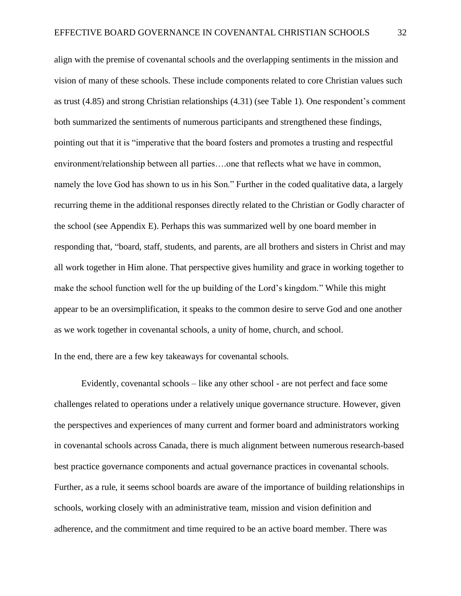align with the premise of covenantal schools and the overlapping sentiments in the mission and vision of many of these schools. These include components related to core Christian values such as trust (4.85) and strong Christian relationships (4.31) (see Table 1). One respondent's comment both summarized the sentiments of numerous participants and strengthened these findings, pointing out that it is "imperative that the board fosters and promotes a trusting and respectful environment/relationship between all parties….one that reflects what we have in common, namely the love God has shown to us in his Son." Further in the coded qualitative data, a largely recurring theme in the additional responses directly related to the Christian or Godly character of the school (see Appendix E). Perhaps this was summarized well by one board member in responding that, "board, staff, students, and parents, are all brothers and sisters in Christ and may all work together in Him alone. That perspective gives humility and grace in working together to make the school function well for the up building of the Lord's kingdom." While this might appear to be an oversimplification, it speaks to the common desire to serve God and one another as we work together in covenantal schools, a unity of home, church, and school.

In the end, there are a few key takeaways for covenantal schools.

Evidently, covenantal schools – like any other school - are not perfect and face some challenges related to operations under a relatively unique governance structure. However, given the perspectives and experiences of many current and former board and administrators working in covenantal schools across Canada, there is much alignment between numerous research-based best practice governance components and actual governance practices in covenantal schools. Further, as a rule, it seems school boards are aware of the importance of building relationships in schools, working closely with an administrative team, mission and vision definition and adherence, and the commitment and time required to be an active board member. There was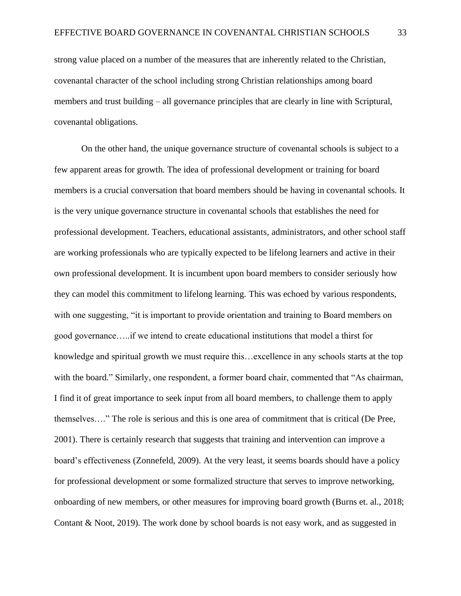strong value placed on a number of the measures that are inherently related to the Christian, covenantal character of the school including strong Christian relationships among board members and trust building – all governance principles that are clearly in line with Scriptural, covenantal obligations.

On the other hand, the unique governance structure of covenantal schools is subject to a few apparent areas for growth. The idea of professional development or training for board members is a crucial conversation that board members should be having in covenantal schools. It is the very unique governance structure in covenantal schools that establishes the need for professional development. Teachers, educational assistants, administrators, and other school staff are working professionals who are typically expected to be lifelong learners and active in their own professional development. It is incumbent upon board members to consider seriously how they can model this commitment to lifelong learning. This was echoed by various respondents, with one suggesting, "it is important to provide orientation and training to Board members on good governance…..if we intend to create educational institutions that model a thirst for knowledge and spiritual growth we must require this…excellence in any schools starts at the top with the board." Similarly, one respondent, a former board chair, commented that "As chairman, I find it of great importance to seek input from all board members, to challenge them to apply themselves…." The role is serious and this is one area of commitment that is critical (De Pree, 2001). There is certainly research that suggests that training and intervention can improve a board's effectiveness (Zonnefeld, 2009). At the very least, it seems boards should have a policy for professional development or some formalized structure that serves to improve networking, onboarding of new members, or other measures for improving board growth (Burns et. al., 2018; Contant & Noot, 2019). The work done by school boards is not easy work, and as suggested in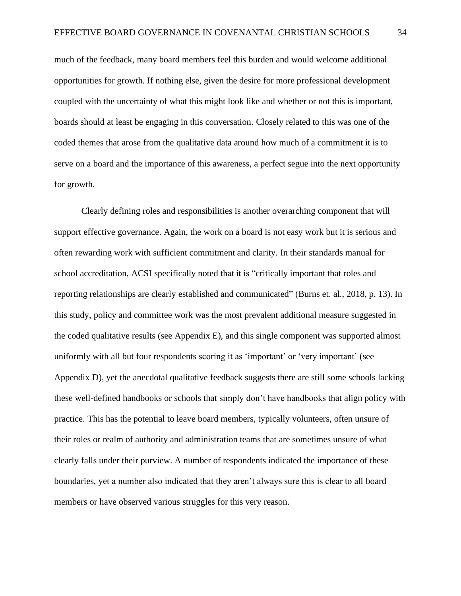much of the feedback, many board members feel this burden and would welcome additional opportunities for growth. If nothing else, given the desire for more professional development coupled with the uncertainty of what this might look like and whether or not this is important, boards should at least be engaging in this conversation. Closely related to this was one of the coded themes that arose from the qualitative data around how much of a commitment it is to serve on a board and the importance of this awareness, a perfect segue into the next opportunity for growth.

Clearly defining roles and responsibilities is another overarching component that will support effective governance. Again, the work on a board is not easy work but it is serious and often rewarding work with sufficient commitment and clarity. In their standards manual for school accreditation, ACSI specifically noted that it is "critically important that roles and reporting relationships are clearly established and communicated" (Burns et. al., 2018, p. 13). In this study, policy and committee work was the most prevalent additional measure suggested in the coded qualitative results (see Appendix E), and this single component was supported almost uniformly with all but four respondents scoring it as 'important' or 'very important' (see Appendix D), yet the anecdotal qualitative feedback suggests there are still some schools lacking these well-defined handbooks or schools that simply don't have handbooks that align policy with practice. This has the potential to leave board members, typically volunteers, often unsure of their roles or realm of authority and administration teams that are sometimes unsure of what clearly falls under their purview. A number of respondents indicated the importance of these boundaries, yet a number also indicated that they aren't always sure this is clear to all board members or have observed various struggles for this very reason.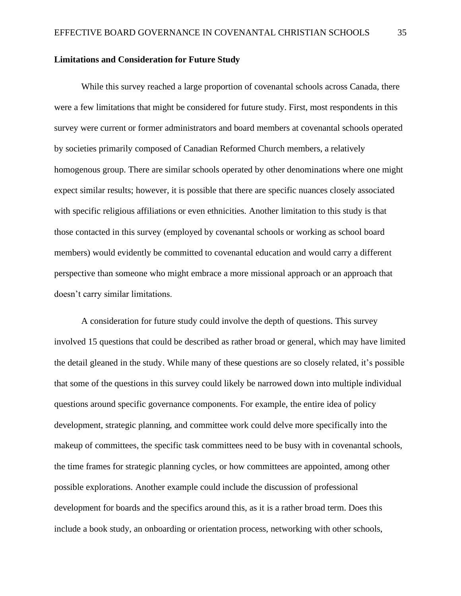#### **Limitations and Consideration for Future Study**

While this survey reached a large proportion of covenantal schools across Canada, there were a few limitations that might be considered for future study. First, most respondents in this survey were current or former administrators and board members at covenantal schools operated by societies primarily composed of Canadian Reformed Church members, a relatively homogenous group. There are similar schools operated by other denominations where one might expect similar results; however, it is possible that there are specific nuances closely associated with specific religious affiliations or even ethnicities. Another limitation to this study is that those contacted in this survey (employed by covenantal schools or working as school board members) would evidently be committed to covenantal education and would carry a different perspective than someone who might embrace a more missional approach or an approach that doesn't carry similar limitations.

A consideration for future study could involve the depth of questions. This survey involved 15 questions that could be described as rather broad or general, which may have limited the detail gleaned in the study. While many of these questions are so closely related, it's possible that some of the questions in this survey could likely be narrowed down into multiple individual questions around specific governance components. For example, the entire idea of policy development, strategic planning, and committee work could delve more specifically into the makeup of committees, the specific task committees need to be busy with in covenantal schools, the time frames for strategic planning cycles, or how committees are appointed, among other possible explorations. Another example could include the discussion of professional development for boards and the specifics around this, as it is a rather broad term. Does this include a book study, an onboarding or orientation process, networking with other schools,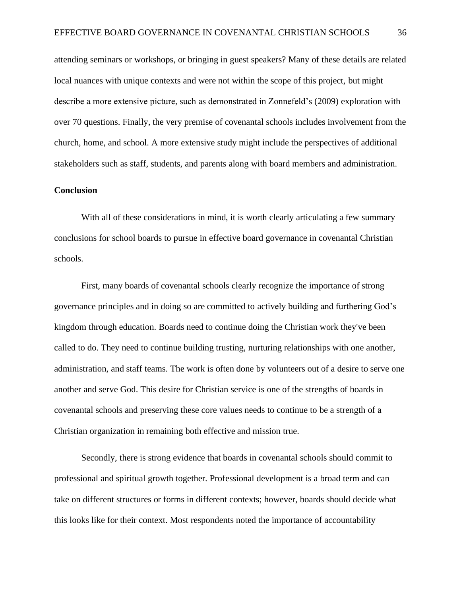attending seminars or workshops, or bringing in guest speakers? Many of these details are related local nuances with unique contexts and were not within the scope of this project, but might describe a more extensive picture, such as demonstrated in Zonnefeld's (2009) exploration with over 70 questions. Finally, the very premise of covenantal schools includes involvement from the church, home, and school. A more extensive study might include the perspectives of additional stakeholders such as staff, students, and parents along with board members and administration.

#### **Conclusion**

With all of these considerations in mind, it is worth clearly articulating a few summary conclusions for school boards to pursue in effective board governance in covenantal Christian schools.

First, many boards of covenantal schools clearly recognize the importance of strong governance principles and in doing so are committed to actively building and furthering God's kingdom through education. Boards need to continue doing the Christian work they've been called to do. They need to continue building trusting, nurturing relationships with one another, administration, and staff teams. The work is often done by volunteers out of a desire to serve one another and serve God. This desire for Christian service is one of the strengths of boards in covenantal schools and preserving these core values needs to continue to be a strength of a Christian organization in remaining both effective and mission true.

Secondly, there is strong evidence that boards in covenantal schools should commit to professional and spiritual growth together. Professional development is a broad term and can take on different structures or forms in different contexts; however, boards should decide what this looks like for their context. Most respondents noted the importance of accountability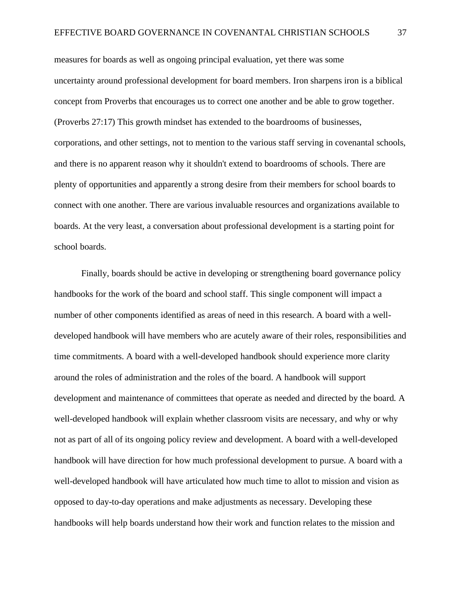measures for boards as well as ongoing principal evaluation, yet there was some uncertainty around professional development for board members. Iron sharpens iron is a biblical concept from Proverbs that encourages us to correct one another and be able to grow together. (Proverbs 27:17) This growth mindset has extended to the boardrooms of businesses, corporations, and other settings, not to mention to the various staff serving in covenantal schools, and there is no apparent reason why it shouldn't extend to boardrooms of schools. There are plenty of opportunities and apparently a strong desire from their members for school boards to connect with one another. There are various invaluable resources and organizations available to boards. At the very least, a conversation about professional development is a starting point for school boards.

Finally, boards should be active in developing or strengthening board governance policy handbooks for the work of the board and school staff. This single component will impact a number of other components identified as areas of need in this research. A board with a welldeveloped handbook will have members who are acutely aware of their roles, responsibilities and time commitments. A board with a well-developed handbook should experience more clarity around the roles of administration and the roles of the board. A handbook will support development and maintenance of committees that operate as needed and directed by the board. A well-developed handbook will explain whether classroom visits are necessary, and why or why not as part of all of its ongoing policy review and development. A board with a well-developed handbook will have direction for how much professional development to pursue. A board with a well-developed handbook will have articulated how much time to allot to mission and vision as opposed to day-to-day operations and make adjustments as necessary. Developing these handbooks will help boards understand how their work and function relates to the mission and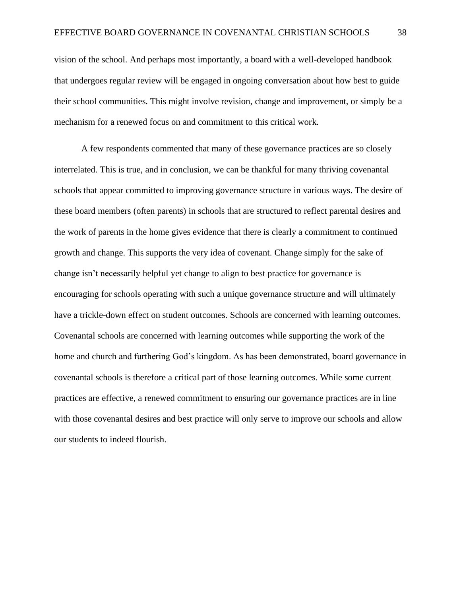vision of the school. And perhaps most importantly, a board with a well-developed handbook that undergoes regular review will be engaged in ongoing conversation about how best to guide their school communities. This might involve revision, change and improvement, or simply be a mechanism for a renewed focus on and commitment to this critical work.

A few respondents commented that many of these governance practices are so closely interrelated. This is true, and in conclusion, we can be thankful for many thriving covenantal schools that appear committed to improving governance structure in various ways. The desire of these board members (often parents) in schools that are structured to reflect parental desires and the work of parents in the home gives evidence that there is clearly a commitment to continued growth and change. This supports the very idea of covenant. Change simply for the sake of change isn't necessarily helpful yet change to align to best practice for governance is encouraging for schools operating with such a unique governance structure and will ultimately have a trickle-down effect on student outcomes. Schools are concerned with learning outcomes. Covenantal schools are concerned with learning outcomes while supporting the work of the home and church and furthering God's kingdom. As has been demonstrated, board governance in covenantal schools is therefore a critical part of those learning outcomes. While some current practices are effective, a renewed commitment to ensuring our governance practices are in line with those covenantal desires and best practice will only serve to improve our schools and allow our students to indeed flourish.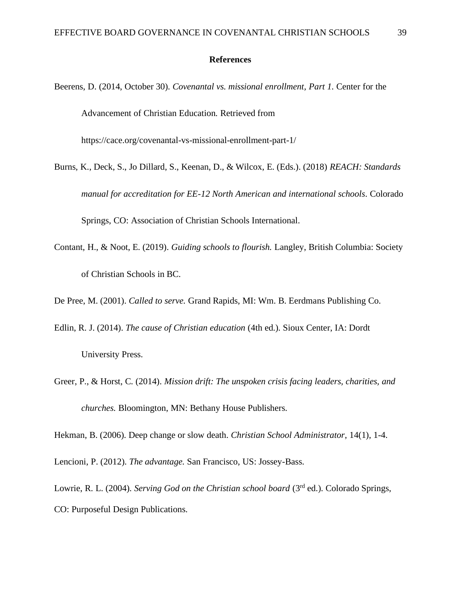#### **References**

- Beerens, D. (2014, October 30). *Covenantal vs. missional enrollment, Part 1.* Center for the Advancement of Christian Education. Retrieved from https://cace.org/covenantal-vs-missional-enrollment-part-1/
- Burns, K., Deck, S., Jo Dillard, S., Keenan, D., & Wilcox, E. (Eds.). (2018) *REACH: Standards manual for accreditation for EE-12 North American and international schools*. Colorado Springs, CO: Association of Christian Schools International.
- Contant, H., & Noot, E. (2019). *Guiding schools to flourish.* Langley, British Columbia: Society of Christian Schools in BC.

De Pree, M. (2001). *Called to serve.* Grand Rapids, MI: Wm. B. Eerdmans Publishing Co.

- Edlin, R. J. (2014). *The cause of Christian education* (4th ed.). Sioux Center, IA: Dordt University Press.
- Greer, P., & Horst, C. (2014). *Mission drift: The unspoken crisis facing leaders, charities, and churches.* Bloomington, MN: Bethany House Publishers.

Hekman, B. (2006). Deep change or slow death. *Christian School Administrator*, 14(1), 1-4.

Lencioni, P. (2012). *The advantage.* San Francisco, US: Jossey-Bass.

Lowrie, R. L. (2004). *Serving God on the Christian school board* (3<sup>rd</sup> ed.). Colorado Springs, CO: Purposeful Design Publications.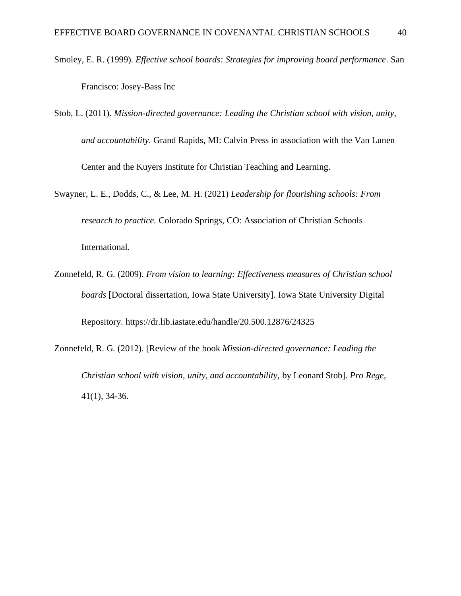- Smoley, E. R. (1999). *Effective school boards: Strategies for improving board performance*. San Francisco: Josey-Bass Inc
- Stob, L. (2011). *Mission-directed governance: Leading the Christian school with vision, unity, and accountability.* Grand Rapids, MI: Calvin Press in association with the Van Lunen Center and the Kuyers Institute for Christian Teaching and Learning.
- Swayner, L. E., Dodds, C., & Lee, M. H. (2021) *Leadership for flourishing schools: From research to practice.* Colorado Springs, CO: Association of Christian Schools International.
- Zonnefeld, R. G. (2009). *From vision to learning: Effectiveness measures of Christian school boards* [Doctoral dissertation, Iowa State University]. Iowa State University Digital Repository. https://dr.lib.iastate.edu/handle/20.500.12876/24325
- Zonnefeld, R. G. (2012). [Review of the book *Mission-directed governance: Leading the Christian school with vision, unity, and accountability,* by Leonard Stob]. *Pro Rege*, 41(1), 34-36.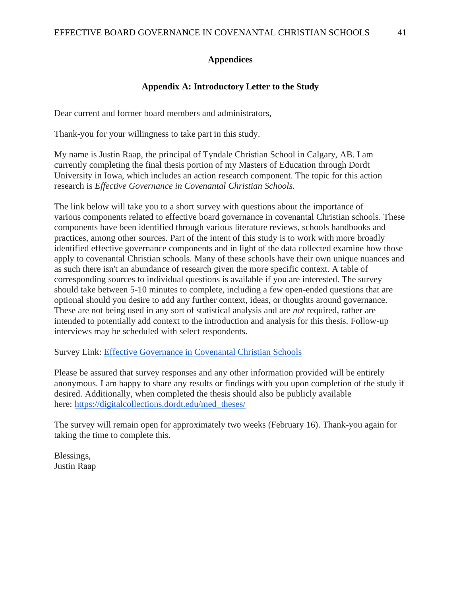## **Appendices**

## **Appendix A: Introductory Letter to the Study**

Dear current and former board members and administrators,

Thank-you for your willingness to take part in this study.

My name is Justin Raap, the principal of Tyndale Christian School in Calgary, AB. I am currently completing the final thesis portion of my Masters of Education through Dordt University in Iowa, which includes an action research component. The topic for this action research is *Effective Governance in Covenantal Christian Schools.*

The link below will take you to a short survey with questions about the importance of various components related to effective board governance in covenantal Christian schools. These components have been identified through various literature reviews, schools handbooks and practices, among other sources. Part of the intent of this study is to work with more broadly identified effective governance components and in light of the data collected examine how those apply to covenantal Christian schools. Many of these schools have their own unique nuances and as such there isn't an abundance of research given the more specific context. A table of corresponding sources to individual questions is available if you are interested. The survey should take between 5-10 minutes to complete, including a few open-ended questions that are optional should you desire to add any further context, ideas, or thoughts around governance. These are not being used in any sort of statistical analysis and are *not* required, rather are intended to potentially add context to the introduction and analysis for this thesis. Follow-up interviews may be scheduled with select respondents.

Survey Link: [Effective Governance in Covenantal Christian Schools](https://docs.google.com/forms/d/e/1FAIpQLSfR6p0wgyzh0IuKPCzK5SK_qGjs6cWiuTt1LOuBTmHjlBafoA/viewform?usp=sf_link)

Please be assured that survey responses and any other information provided will be entirely anonymous. I am happy to share any results or findings with you upon completion of the study if desired. Additionally, when completed the thesis should also be publicly available here: [https://digitalcollections.dordt.edu/med\\_theses/](https://digitalcollections.dordt.edu/med_theses/)

The survey will remain open for approximately two weeks (February 16). Thank-you again for taking the time to complete this.

Blessings, Justin Raap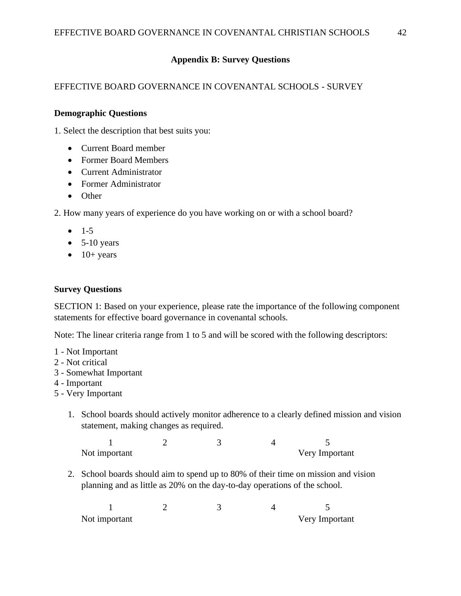## **Appendix B: Survey Questions**

## EFFECTIVE BOARD GOVERNANCE IN COVENANTAL SCHOOLS - SURVEY

#### **Demographic Questions**

1. Select the description that best suits you:

- Current Board member
- Former Board Members
- Current Administrator
- Former Administrator
- Other

2. How many years of experience do you have working on or with a school board?

- $-1-5$
- $\bullet$  5-10 years
- $\bullet$  10+ years

## **Survey Questions**

SECTION 1: Based on your experience, please rate the importance of the following component statements for effective board governance in covenantal schools.

Note: The linear criteria range from 1 to 5 and will be scored with the following descriptors:

- 1 Not Important
- 2 Not critical
- 3 Somewhat Important
- 4 Important
- 5 Very Important
	- 1. School boards should actively monitor adherence to a clearly defined mission and vision statement, making changes as required.

 $1 2 3 4 5$ Not important Very Important

2. School boards should aim to spend up to 80% of their time on mission and vision planning and as little as 20% on the day-to-day operations of the school.

| Not important |  | Very Important |
|---------------|--|----------------|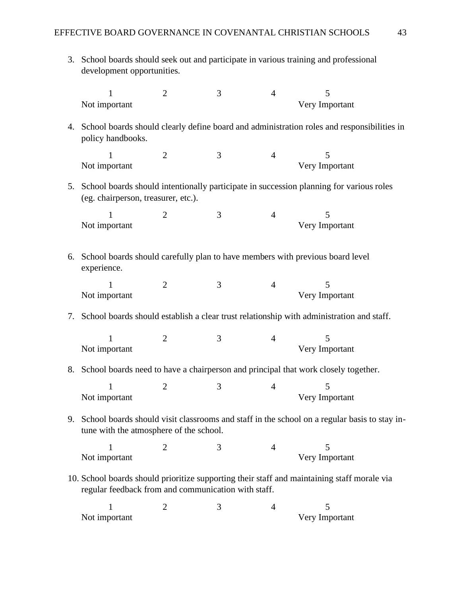3. School boards should seek out and participate in various training and professional development opportunities.

|    | $\mathbf{1}$                                                                                 | $\overline{2}$ | 3              | $\overline{4}$ | 5                                                                                               |
|----|----------------------------------------------------------------------------------------------|----------------|----------------|----------------|-------------------------------------------------------------------------------------------------|
|    | Not important                                                                                |                |                |                | Very Important                                                                                  |
| 4. | policy handbooks.                                                                            |                |                |                | School boards should clearly define board and administration roles and responsibilities in      |
|    | $\mathbf{1}$<br>Not important                                                                | $\overline{2}$ | 3              | $\overline{4}$ | 5<br>Very Important                                                                             |
| 5. | (eg. chairperson, treasurer, etc.).                                                          |                |                |                | School boards should intentionally participate in succession planning for various roles         |
|    | 1<br>Not important                                                                           | $\overline{2}$ | $\mathfrak{Z}$ | $\overline{4}$ | 5<br>Very Important                                                                             |
| 6. | School boards should carefully plan to have members with previous board level<br>experience. |                |                |                |                                                                                                 |
|    | 1<br>Not important                                                                           | $\overline{2}$ | 3              | $\overline{4}$ | 5<br>Very Important                                                                             |
| 7. |                                                                                              |                |                |                | School boards should establish a clear trust relationship with administration and staff.        |
|    | $\mathbf{1}$<br>Not important                                                                | $\mathbf{2}$   | 3              | $\overline{4}$ | 5<br>Very Important                                                                             |
| 8. |                                                                                              |                |                |                | School boards need to have a chairperson and principal that work closely together.              |
|    | $\mathbf{1}$<br>Not important                                                                | $\overline{2}$ | 3              | $\overline{4}$ | 5<br>Very Important                                                                             |
|    | tune with the atmosphere of the school.                                                      |                |                |                | 9. School boards should visit classrooms and staff in the school on a regular basis to stay in- |
|    | 1<br>Not important                                                                           | 2              | 3              | $\overline{4}$ | 5<br>Very Important                                                                             |
|    | regular feedback from and communication with staff.                                          |                |                |                | 10. School boards should prioritize supporting their staff and maintaining staff morale via     |
|    | $\mathbf{1}$<br>Not important                                                                | 2              | 3              | 4              | 5<br>Very Important                                                                             |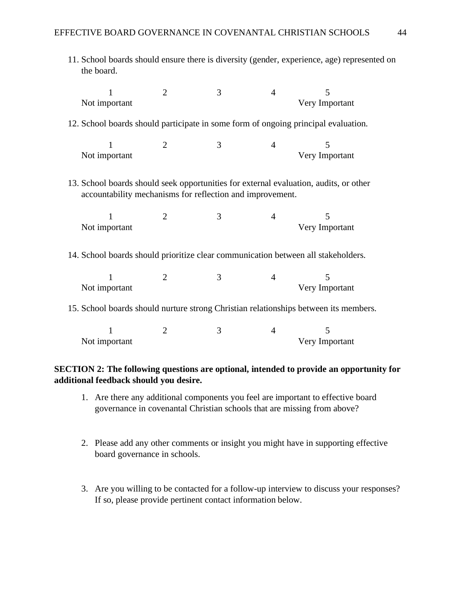| 11. School boards should ensure there is diversity (gender, experience, age) represented on<br>the board. |                                                                                                                                                    |   |                |                     |  |  |  |
|-----------------------------------------------------------------------------------------------------------|----------------------------------------------------------------------------------------------------------------------------------------------------|---|----------------|---------------------|--|--|--|
| $\mathbf{1}$<br>Not important                                                                             | $\overline{2}$                                                                                                                                     | 3 | $\overline{4}$ | 5<br>Very Important |  |  |  |
| 12. School boards should participate in some form of ongoing principal evaluation.                        |                                                                                                                                                    |   |                |                     |  |  |  |
| 1<br>Not important                                                                                        | $\overline{2}$                                                                                                                                     | 3 | $\overline{4}$ | 5<br>Very Important |  |  |  |
|                                                                                                           | 13. School boards should seek opportunities for external evaluation, audits, or other<br>accountability mechanisms for reflection and improvement. |   |                |                     |  |  |  |
| 1<br>Not important                                                                                        | $\overline{2}$                                                                                                                                     | 3 | 4              | 5<br>Very Important |  |  |  |
| 14. School boards should prioritize clear communication between all stakeholders.                         |                                                                                                                                                    |   |                |                     |  |  |  |
| 1<br>Not important                                                                                        | $\overline{2}$                                                                                                                                     | 3 | $\overline{4}$ | 5<br>Very Important |  |  |  |
| 15. School boards should nurture strong Christian relationships between its members.                      |                                                                                                                                                    |   |                |                     |  |  |  |
| 1<br>Not important                                                                                        | $\overline{2}$                                                                                                                                     | 3 | 4              | 5<br>Very Important |  |  |  |

## **SECTION 2: The following questions are optional, intended to provide an opportunity for additional feedback should you desire.**

- 1. Are there any additional components you feel are important to effective board governance in covenantal Christian schools that are missing from above?
- 2. Please add any other comments or insight you might have in supporting effective board governance in schools.
- 3. Are you willing to be contacted for a follow-up interview to discuss your responses? If so, please provide pertinent contact information below.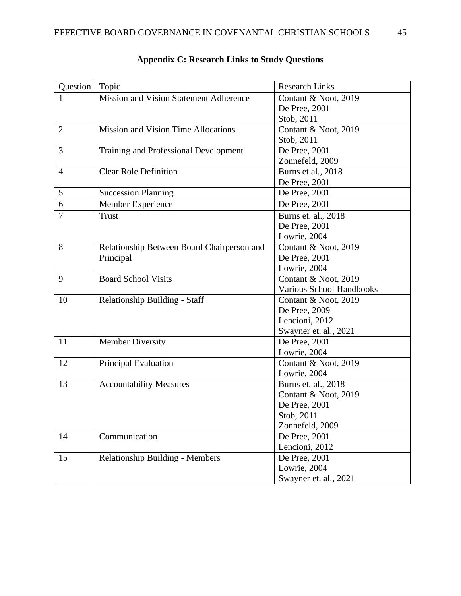| Question       | Topic                                         | <b>Research Links</b>    |
|----------------|-----------------------------------------------|--------------------------|
| 1              | <b>Mission and Vision Statement Adherence</b> | Contant & Noot, 2019     |
|                |                                               | De Pree, 2001            |
|                |                                               | Stob, 2011               |
| $\overline{2}$ | <b>Mission and Vision Time Allocations</b>    | Contant & Noot, 2019     |
|                |                                               | Stob, 2011               |
| 3              | Training and Professional Development         | De Pree, 2001            |
|                |                                               | Zonnefeld, 2009          |
| $\overline{4}$ | <b>Clear Role Definition</b>                  | Burns et.al., 2018       |
|                |                                               | De Pree, 2001            |
| 5              | <b>Succession Planning</b>                    | De Pree, 2001            |
| 6              | Member Experience                             | De Pree, 2001            |
| $\overline{7}$ | <b>Trust</b>                                  | Burns et. al., 2018      |
|                |                                               | De Pree, 2001            |
|                |                                               | Lowrie, 2004             |
| 8              | Relationship Between Board Chairperson and    | Contant & Noot, 2019     |
|                | Principal                                     | De Pree, 2001            |
|                |                                               | Lowrie, 2004             |
| 9              | <b>Board School Visits</b>                    | Contant & Noot, 2019     |
|                |                                               | Various School Handbooks |
| 10             | Relationship Building - Staff                 | Contant & Noot, 2019     |
|                |                                               | De Pree, 2009            |
|                |                                               | Lencioni, 2012           |
|                |                                               | Swayner et. al., 2021    |
| 11             | <b>Member Diversity</b>                       | De Pree, 2001            |
|                |                                               | Lowrie, 2004             |
| 12             | Principal Evaluation                          | Contant & Noot, 2019     |
|                |                                               | Lowrie, 2004             |
| 13             | <b>Accountability Measures</b>                | Burns et. al., 2018      |
|                |                                               | Contant & Noot, 2019     |
|                |                                               | De Pree, 2001            |
|                |                                               | Stob. 2011               |
|                |                                               | Zonnefeld, 2009          |
| 14             | Communication                                 | De Pree, 2001            |
|                |                                               | Lencioni, 2012           |
| 15             | <b>Relationship Building - Members</b>        | De Pree, 2001            |
|                |                                               | Lowrie, 2004             |
|                |                                               | Swayner et. al., 2021    |

# **Appendix C: Research Links to Study Questions**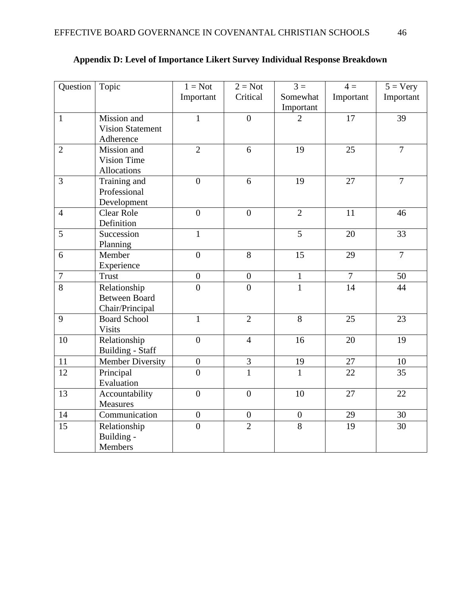| Question         | Topic                   | $1 = Not$        | $2 = Not$        | $3 =$            | $4 =$            | $5 = \text{Very}$ |
|------------------|-------------------------|------------------|------------------|------------------|------------------|-------------------|
|                  |                         | Important        | Critical         | Somewhat         | Important        | Important         |
|                  |                         |                  |                  | Important        |                  |                   |
| $\mathbf{1}$     | Mission and             | $\mathbf{1}$     | $\overline{0}$   | $\overline{2}$   | 17               | 39                |
|                  | <b>Vision Statement</b> |                  |                  |                  |                  |                   |
|                  | Adherence               |                  |                  |                  |                  |                   |
| $\overline{2}$   | Mission and             | $\overline{2}$   | 6                | 19               | 25               | $\overline{7}$    |
|                  | <b>Vision Time</b>      |                  |                  |                  |                  |                   |
|                  | Allocations             |                  |                  |                  |                  |                   |
| 3                | Training and            | $\overline{0}$   | 6                | 19               | 27               | $\overline{7}$    |
|                  | Professional            |                  |                  |                  |                  |                   |
|                  | Development             |                  |                  |                  |                  |                   |
| $\overline{4}$   | <b>Clear Role</b>       | $\boldsymbol{0}$ | $\overline{0}$   | $\overline{2}$   | 11               | 46                |
|                  | Definition              |                  |                  |                  |                  |                   |
| 5                | Succession              | $\mathbf{1}$     |                  | 5                | 20               | 33                |
|                  | Planning                |                  |                  |                  |                  |                   |
| 6                | Member                  | $\overline{0}$   | $\overline{8}$   | 15               | 29               | $\overline{7}$    |
|                  | Experience              |                  |                  |                  |                  |                   |
| $\boldsymbol{7}$ | <b>Trust</b>            | $\boldsymbol{0}$ | $\boldsymbol{0}$ | $\,1$            | $\boldsymbol{7}$ | 50                |
| $\overline{8}$   | Relationship            | $\overline{0}$   | $\overline{0}$   | $\overline{1}$   | $\overline{14}$  | 44                |
|                  | <b>Between Board</b>    |                  |                  |                  |                  |                   |
|                  | Chair/Principal         |                  |                  |                  |                  |                   |
| 9                | <b>Board School</b>     | $\mathbf{1}$     | $\overline{2}$   | $\overline{8}$   | 25               | 23                |
|                  | <b>Visits</b>           |                  |                  |                  |                  |                   |
| 10               | Relationship            | $\overline{0}$   | $\overline{4}$   | 16               | 20               | 19                |
|                  | <b>Building - Staff</b> |                  |                  |                  |                  |                   |
| 11               | Member Diversity        | $\boldsymbol{0}$ | 3                | 19               | 27               | 10                |
| 12               | Principal               | $\overline{0}$   | $\overline{1}$   | $\mathbf{1}$     | 22               | 35                |
|                  | Evaluation              |                  |                  |                  |                  |                   |
| 13               | Accountability          | $\overline{0}$   | $\overline{0}$   | 10               | 27               | 22                |
|                  | <b>Measures</b>         |                  |                  |                  |                  |                   |
| 14               | Communication           | $\boldsymbol{0}$ | $\boldsymbol{0}$ | $\boldsymbol{0}$ | 29               | 30                |
| $\overline{15}$  | Relationship            | $\overline{0}$   | $\overline{2}$   | $\overline{8}$   | 19               | 30                |
|                  | Building -              |                  |                  |                  |                  |                   |
|                  | Members                 |                  |                  |                  |                  |                   |

# **Appendix D: Level of Importance Likert Survey Individual Response Breakdown**